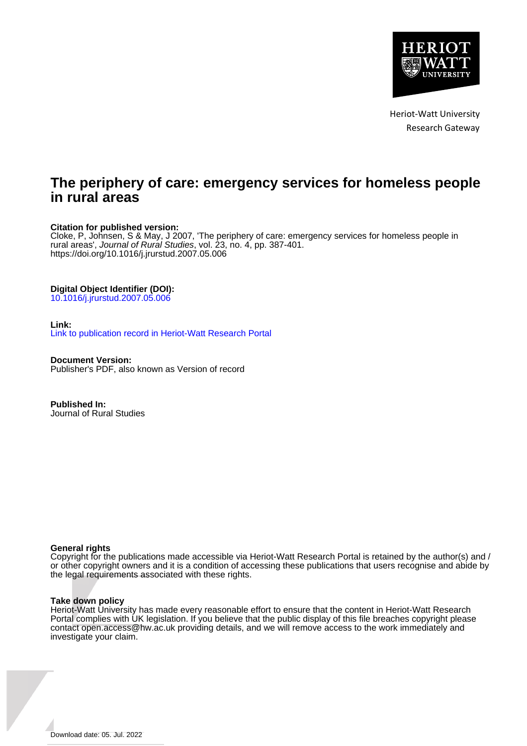

Heriot-Watt University Research Gateway

## **The periphery of care: emergency services for homeless people in rural areas**

## **Citation for published version:**

Cloke, P, Johnsen, S & May, J 2007, 'The periphery of care: emergency services for homeless people in rural areas', Journal of Rural Studies, vol. 23, no. 4, pp. 387-401. <https://doi.org/10.1016/j.jrurstud.2007.05.006>

## **Digital Object Identifier (DOI):**

[10.1016/j.jrurstud.2007.05.006](https://doi.org/10.1016/j.jrurstud.2007.05.006)

## **Link:**

[Link to publication record in Heriot-Watt Research Portal](https://researchportal.hw.ac.uk/en/publications/75a7595a-e534-4e4e-a79b-4f23ce395927)

**Document Version:** Publisher's PDF, also known as Version of record

**Published In:** Journal of Rural Studies

#### **General rights**

Copyright for the publications made accessible via Heriot-Watt Research Portal is retained by the author(s) and / or other copyright owners and it is a condition of accessing these publications that users recognise and abide by the legal requirements associated with these rights.

#### **Take down policy**

Heriot-Watt University has made every reasonable effort to ensure that the content in Heriot-Watt Research Portal complies with UK legislation. If you believe that the public display of this file breaches copyright please contact open.access@hw.ac.uk providing details, and we will remove access to the work immediately and investigate your claim.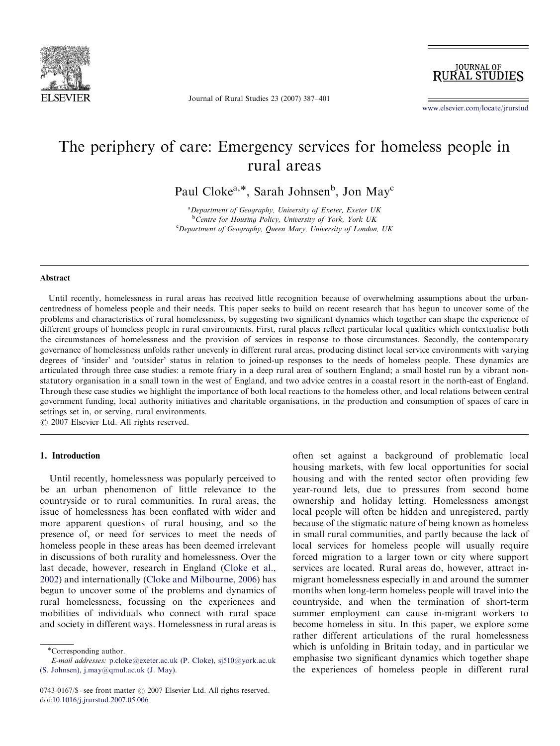

Journal of Rural Studies 23 (2007) 387–401

**JOURNAL OF RURAL STUDIES** 

<www.elsevier.com/locate/jrurstud>

# The periphery of care: Emergency services for homeless people in rural areas

Paul Cloke<sup>a,\*</sup>, Sarah Johnsen<sup>b</sup>, Jon May<sup>c</sup>

<sup>a</sup> Department of Geography, University of Exeter, Exeter UK <sup>b</sup>Centre for Housing Policy, University of York, York UK <sup>c</sup>Department of Geography, Queen Mary, University of London, UK

#### Abstract

Until recently, homelessness in rural areas has received little recognition because of overwhelming assumptions about the urbancentredness of homeless people and their needs. This paper seeks to build on recent research that has begun to uncover some of the problems and characteristics of rural homelessness, by suggesting two significant dynamics which together can shape the experience of different groups of homeless people in rural environments. First, rural places reflect particular local qualities which contextualise both the circumstances of homelessness and the provision of services in response to those circumstances. Secondly, the contemporary governance of homelessness unfolds rather unevenly in different rural areas, producing distinct local service environments with varying degrees of 'insider' and 'outsider' status in relation to joined-up responses to the needs of homeless people. These dynamics are articulated through three case studies: a remote friary in a deep rural area of southern England; a small hostel run by a vibrant nonstatutory organisation in a small town in the west of England, and two advice centres in a coastal resort in the north-east of England. Through these case studies we highlight the importance of both local reactions to the homeless other, and local relations between central government funding, local authority initiatives and charitable organisations, in the production and consumption of spaces of care in settings set in, or serving, rural environments.

 $O$  2007 Elsevier Ltd. All rights reserved.

#### 1. Introduction

Until recently, homelessness was popularly perceived to be an urban phenomenon of little relevance to the countryside or to rural communities. In rural areas, the issue of homelessness has been conflated with wider and more apparent questions of rural housing, and so the presence of, or need for services to meet the needs of homeless people in these areas has been deemed irrelevant in discussions of both rurality and homelessness. Over the last decade, however, research in England [\(Cloke et al.,](#page-13-0) [2002](#page-13-0)) and internationally ([Cloke and Milbourne, 2006](#page-13-0)) has begun to uncover some of the problems and dynamics of rural homelessness, focussing on the experiences and mobilities of individuals who connect with rural space and society in different ways. Homelessness in rural areas is

-Corresponding author.

often set against a background of problematic local housing markets, with few local opportunities for social housing and with the rented sector often providing few year-round lets, due to pressures from second home ownership and holiday letting. Homelessness amongst local people will often be hidden and unregistered, partly because of the stigmatic nature of being known as homeless in small rural communities, and partly because the lack of local services for homeless people will usually require forced migration to a larger town or city where support services are located. Rural areas do, however, attract inmigrant homelessness especially in and around the summer months when long-term homeless people will travel into the countryside, and when the termination of short-term summer employment can cause in-migrant workers to become homeless in situ. In this paper, we explore some rather different articulations of the rural homelessness which is unfolding in Britain today, and in particular we emphasise two significant dynamics which together shape the experiences of homeless people in different rural

E-mail addresses: [p.cloke@exeter.ac.uk \(P. Cloke\)](mailto:p.cloke@exeter.ac.uk), [sj510@york.ac.uk](mailto:sj510@york.ac.uk) [\(S. Johnsen\),](mailto:sj510@york.ac.uk) [j.may@qmul.ac.uk \(J. May\)](mailto:j.may@qmul.ac.uk).

 $0743-0167$ /\$ - see front matter  $\odot$  2007 Elsevier Ltd. All rights reserved. doi:[10.1016/j.jrurstud.2007.05.006](dx.doi.org/10.1016/j.jrurstud.2007.05.006)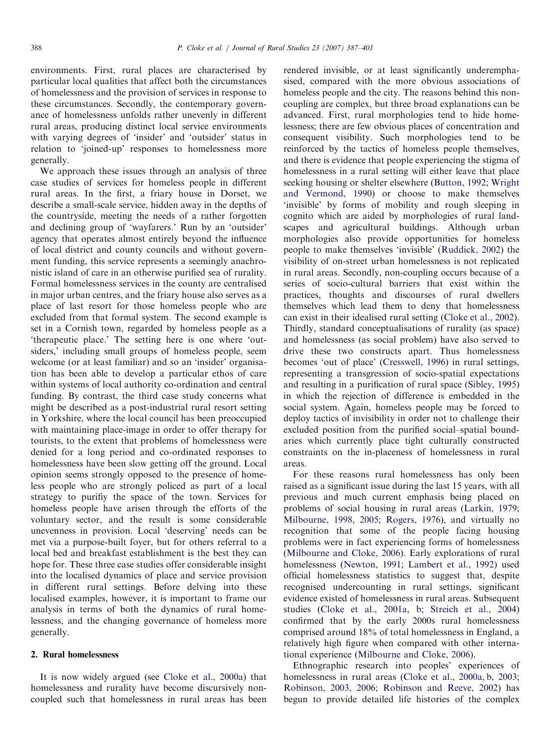environments. First, rural places are characterised by particular local qualities that affect both the circumstances of homelessness and the provision of services in response to these circumstances. Secondly, the contemporary governance of homelessness unfolds rather unevenly in different rural areas, producing distinct local service environments with varying degrees of 'insider' and 'outsider' status in relation to 'joined-up' responses to homelessness more generally.

We approach these issues through an analysis of three case studies of services for homeless people in different rural areas. In the first, a friary house in Dorset, we describe a small-scale service, hidden away in the depths of the countryside, meeting the needs of a rather forgotten and declining group of 'wayfarers.' Run by an 'outsider' agency that operates almost entirely beyond the influence of local district and county councils and without government funding, this service represents a seemingly anachronistic island of care in an otherwise purified sea of rurality. Formal homelessness services in the county are centralised in major urban centres, and the friary house also serves as a place of last resort for those homeless people who are excluded from that formal system. The second example is set in a Cornish town, regarded by homeless people as a 'therapeutic place.' The setting here is one where 'outsiders,' including small groups of homeless people, seem welcome (or at least familiar) and so an 'insider' organisation has been able to develop a particular ethos of care within systems of local authority co-ordination and central funding. By contrast, the third case study concerns what might be described as a post-industrial rural resort setting in Yorkshire, where the local council has been preoccupied with maintaining place-image in order to offer therapy for tourists, to the extent that problems of homelessness were denied for a long period and co-ordinated responses to homelessness have been slow getting off the ground. Local opinion seems strongly opposed to the presence of homeless people who are strongly policed as part of a local strategy to purifiy the space of the town. Services for homeless people have arisen through the efforts of the voluntary sector, and the result is some considerable unevenness in provision. Local 'deserving' needs can be met via a purpose-built foyer, but for others referral to a local bed and breakfast establishment is the best they can hope for. These three case studies offer considerable insight into the localised dynamics of place and service provision in different rural settings. Before delving into these localised examples, however, it is important to frame our analysis in terms of both the dynamics of rural homelessness, and the changing governance of homeless more generally.

#### 2. Rural homelessness

It is now widely argued (see [Cloke et al., 2000a\)](#page-13-0) that homelessness and rurality have become discursively noncoupled such that homelessness in rural areas has been

rendered invisible, or at least significantly underemphasised, compared with the more obvious associations of homeless people and the city. The reasons behind this noncoupling are complex, but three broad explanations can be advanced. First, rural morphologies tend to hide homelessness; there are few obvious places of concentration and consequent visibility. Such morphologies tend to be reinforced by the tactics of homeless people themselves, and there is evidence that people experiencing the stigma of homelessness in a rural setting will either leave that place seeking housing or shelter elsewhere ([Button, 1992;](#page-13-0) [Wright](#page-15-0) [and Vermond, 1990\)](#page-15-0) or choose to make themselves 'invisible' by forms of mobility and rough sleeping in cognito which are aided by morphologies of rural landscapes and agricultural buildings. Although urban morphologies also provide opportunities for homeless people to make themselves 'invisible' [\(Ruddick, 2002\)](#page-14-0) the visibility of on-street urban homelessness is not replicated in rural areas. Secondly, non-coupling occurs because of a series of socio-cultural barriers that exist within the practices, thoughts and discourses of rural dwellers themselves which lead them to deny that homelessness can exist in their idealised rural setting [\(Cloke et al., 2002\)](#page-13-0). Thirdly, standard conceptualisations of rurality (as space) and homelessness (as social problem) have also served to drive these two constructs apart. Thus homelessness becomes 'out of place' [\(Cresswell, 1996\)](#page-14-0) in rural settings, representing a transgression of socio-spatial expectations and resulting in a purification of rural space ([Sibley, 1995](#page-14-0)) in which the rejection of difference is embedded in the social system. Again, homeless people may be forced to deploy tactics of invisibility in order not to challenge their excluded position from the purified social–spatial boundaries which currently place tight culturally constructed constraints on the in-placeness of homelessness in rural areas.

For these reasons rural homelessness has only been raised as a significant issue during the last 15 years, with all previous and much current emphasis being placed on problems of social housing in rural areas ([Larkin, 1979](#page-14-0); [Milbourne, 1998, 2005;](#page-14-0) [Rogers, 1976\)](#page-14-0), and virtually no recognition that some of the people facing housing problems were in fact experiencing forms of homelessness [\(Milbourne and Cloke, 2006\)](#page-14-0). Early explorations of rural homelessness ([Newton, 1991;](#page-14-0) [Lambert et al., 1992\)](#page-14-0) used official homelessness statistics to suggest that, despite recognised undercounting in rural settings, significant evidence existed of homelessness in rural areas. Subsequent studies [\(Cloke et al., 2001a, b](#page-13-0); [Streich et al., 2004](#page-14-0)) confirmed that by the early 2000s rural homelessness comprised around 18% of total homelessness in England, a relatively high figure when compared with other international experience ([Milbourne and Cloke, 2006](#page-14-0)).

Ethnographic research into peoples' experiences of homelessness in rural areas [\(Cloke et al., 2000a, b, 2003](#page-13-0); [Robinson, 2003, 2006](#page-14-0); [Robinson and Reeve, 2002\)](#page-14-0) has begun to provide detailed life histories of the complex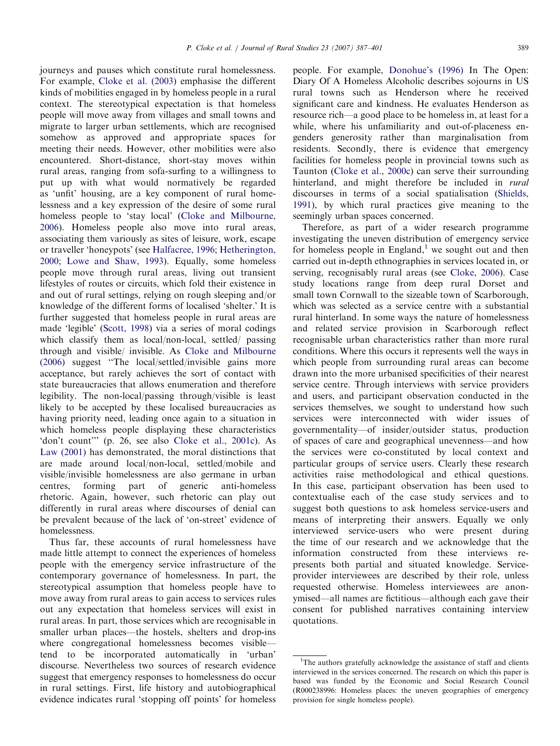journeys and pauses which constitute rural homelessness. For example, [Cloke et al. \(2003\)](#page-14-0) emphasise the different kinds of mobilities engaged in by homeless people in a rural context. The stereotypical expectation is that homeless people will move away from villages and small towns and migrate to larger urban settlements, which are recognised somehow as approved and appropriate spaces for meeting their needs. However, other mobilities were also encountered. Short-distance, short-stay moves within rural areas, ranging from sofa-surfing to a willingness to put up with what would normatively be regarded as 'unfit' housing, are a key component of rural homelessness and a key expression of the desire of some rural homeless people to 'stay local' ([Cloke and Milbourne,](#page-13-0) [2006](#page-13-0)). Homeless people also move into rural areas, associating them variously as sites of leisure, work, escape or traveller 'honeypots' (see [Halfacree, 1996;](#page-14-0) [Hetherington,](#page-14-0) [2000](#page-14-0); [Lowe and Shaw, 1993](#page-14-0)). Equally, some homeless people move through rural areas, living out transient lifestyles of routes or circuits, which fold their existence in and out of rural settings, relying on rough sleeping and/or knowledge of the different forms of localised 'shelter.' It is further suggested that homeless people in rural areas are made 'legible' ([Scott, 1998\)](#page-14-0) via a series of moral codings which classify them as local/non-local, settled/ passing through and visible/ invisible. As [Cloke and Milbourne](#page-13-0) [\(2006\)](#page-13-0) suggest ''The local/settled/invisible gains more acceptance, but rarely achieves the sort of contact with state bureaucracies that allows enumeration and therefore legibility. The non-local/passing through/visible is least likely to be accepted by these localised bureaucracies as having priority need, leading once again to a situation in which homeless people displaying these characteristics 'don't count''' (p. 26, see also [Cloke et al., 2001c\)](#page-13-0). As [Law \(2001\)](#page-14-0) has demonstrated, the moral distinctions that are made around local/non-local, settled/mobile and visible/invisible homelessness are also germane in urban centres, forming part of generic anti-homeless rhetoric. Again, however, such rhetoric can play out differently in rural areas where discourses of denial can be prevalent because of the lack of 'on-street' evidence of homelessness.

Thus far, these accounts of rural homelessness have made little attempt to connect the experiences of homeless people with the emergency service infrastructure of the contemporary governance of homelessness. In part, the stereotypical assumption that homeless people have to move away from rural areas to gain access to services rules out any expectation that homeless services will exist in rural areas. In part, those services which are recognisable in smaller urban places—the hostels, shelters and drop-ins where congregational homelessness becomes visible tend to be incorporated automatically in 'urban' discourse. Nevertheless two sources of research evidence suggest that emergency responses to homelessness do occur in rural settings. First, life history and autobiographical evidence indicates rural 'stopping off points' for homeless people. For example, [Donohue's \(1996\)](#page-14-0) In The Open: Diary Of A Homeless Alcoholic describes sojourns in US rural towns such as Henderson where he received significant care and kindness. He evaluates Henderson as resource rich—a good place to be homeless in, at least for a while, where his unfamiliarity and out-of-placeness engenders generosity rather than marginalisation from residents. Secondly, there is evidence that emergency facilities for homeless people in provincial towns such as Taunton [\(Cloke et al., 2000c\)](#page-13-0) can serve their surrounding hinterland, and might therefore be included in *rural* discourses in terms of a social spatialisation ([Shields,](#page-14-0) [1991](#page-14-0)), by which rural practices give meaning to the seemingly urban spaces concerned.

Therefore, as part of a wider research programme investigating the uneven distribution of emergency service for homeless people in England,<sup>1</sup> we sought out and then carried out in-depth ethnographies in services located in, or serving, recognisably rural areas (see [Cloke, 2006\)](#page-13-0). Case study locations range from deep rural Dorset and small town Cornwall to the sizeable town of Scarborough, which was selected as a service centre with a substantial rural hinterland. In some ways the nature of homelessness and related service provision in Scarborough reflect recognisable urban characteristics rather than more rural conditions. Where this occurs it represents well the ways in which people from surrounding rural areas can become drawn into the more urbanised specificities of their nearest service centre. Through interviews with service providers and users, and participant observation conducted in the services themselves, we sought to understand how such services were interconnected with wider issues of governmentality—of insider/outsider status, production of spaces of care and geographical unevenness—and how the services were co-constituted by local context and particular groups of service users. Clearly these research activities raise methodological and ethical questions. In this case, participant observation has been used to contextualise each of the case study services and to suggest both questions to ask homeless service-users and means of interpreting their answers. Equally we only interviewed service-users who were present during the time of our research and we acknowledge that the information constructed from these interviews represents both partial and situated knowledge. Serviceprovider interviewees are described by their role, unless requested otherwise. Homeless interviewees are anonymised—all names are fictitious—although each gave their consent for published narratives containing interview quotations.

<sup>&</sup>lt;sup>1</sup>The authors gratefully acknowledge the assistance of staff and clients interviewed in the services concerned. The research on which this paper is based was funded by the Economic and Social Research Council (R000238996: Homeless places: the uneven geographies of emergency provision for single homeless people).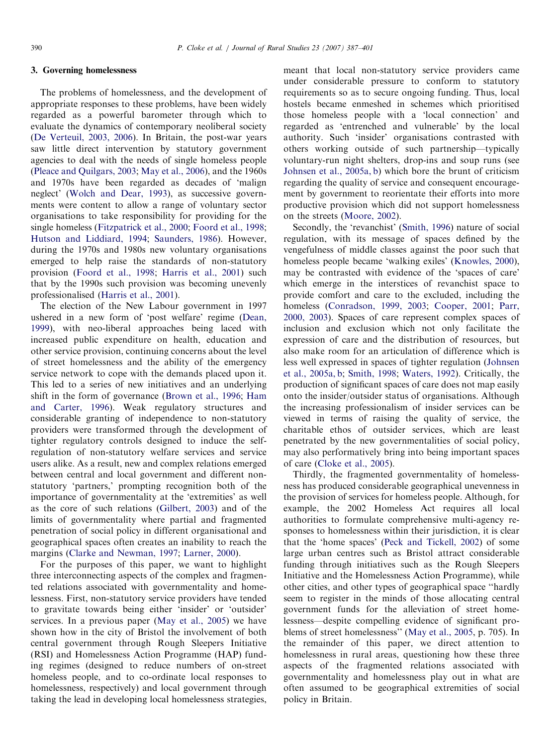#### 3. Governing homelessness

The problems of homelessness, and the development of appropriate responses to these problems, have been widely regarded as a powerful barometer through which to evaluate the dynamics of contemporary neoliberal society [\(De Verteuil, 2003, 2006](#page-14-0)). In Britain, the post-war years saw little direct intervention by statutory government agencies to deal with the needs of single homeless people [\(Pleace and Quilgars, 2003;](#page-14-0) [May et al., 2006\)](#page-14-0), and the 1960s and 1970s have been regarded as decades of 'malign neglect' ([Wolch and Dear, 1993\)](#page-15-0), as successive governments were content to allow a range of voluntary sector organisations to take responsibility for providing for the single homeless ([Fitzpatrick et al., 2000;](#page-14-0) [Foord et al., 1998](#page-14-0); [Hutson and Liddiard, 1994](#page-14-0); [Saunders, 1986](#page-14-0)). However, during the 1970s and 1980s new voluntary organisations emerged to help raise the standards of non-statutory provision [\(Foord et al., 1998;](#page-14-0) [Harris et al., 2001](#page-14-0)) such that by the 1990s such provision was becoming unevenly professionalised [\(Harris et al., 2001\)](#page-14-0).

The election of the New Labour government in 1997 ushered in a new form of 'post welfare' regime ([Dean,](#page-14-0) [1999\)](#page-14-0), with neo-liberal approaches being laced with increased public expenditure on health, education and other service provision, continuing concerns about the level of street homelessness and the ability of the emergency service network to cope with the demands placed upon it. This led to a series of new initiatives and an underlying shift in the form of governance ([Brown et al., 1996](#page-13-0); [Ham](#page-14-0) [and Carter, 1996](#page-14-0)). Weak regulatory structures and considerable granting of independence to non-statutory providers were transformed through the development of tighter regulatory controls designed to induce the selfregulation of non-statutory welfare services and service users alike. As a result, new and complex relations emerged between central and local government and different nonstatutory 'partners,' prompting recognition both of the importance of governmentality at the 'extremities' as well as the core of such relations ([Gilbert, 2003\)](#page-14-0) and of the limits of governmentality where partial and fragmented penetration of social policy in different organisational and geographical spaces often creates an inability to reach the margins [\(Clarke and Newman, 1997](#page-13-0); [Larner, 2000](#page-14-0)).

For the purposes of this paper, we want to highlight three interconnecting aspects of the complex and fragmented relations associated with governmentality and homelessness. First, non-statutory service providers have tended to gravitate towards being either 'insider' or 'outsider' services. In a previous paper [\(May et al., 2005\)](#page-14-0) we have shown how in the city of Bristol the involvement of both central government through Rough Sleepers Initiative (RSI) and Homelessness Action Programme (HAP) funding regimes (designed to reduce numbers of on-street homeless people, and to co-ordinate local responses to homelessness, respectively) and local government through taking the lead in developing local homelessness strategies, meant that local non-statutory service providers came under considerable pressure to conform to statutory requirements so as to secure ongoing funding. Thus, local hostels became enmeshed in schemes which prioritised those homeless people with a 'local connection' and regarded as 'entrenched and vulnerable' by the local authority. Such 'insider' organisations contrasted with others working outside of such partnership—typically voluntary-run night shelters, drop-ins and soup runs (see [Johnsen et al., 2005a, b](#page-14-0)) which bore the brunt of criticism regarding the quality of service and consequent encouragement by government to reorientate their efforts into more productive provision which did not support homelessness on the streets [\(Moore, 2002](#page-14-0)).

Secondly, the 'revanchist' ([Smith, 1996](#page-14-0)) nature of social regulation, with its message of spaces defined by the vengefulness of middle classes against the poor such that homeless people became 'walking exiles' [\(Knowles, 2000\)](#page-14-0), may be contrasted with evidence of the 'spaces of care' which emerge in the interstices of revanchist space to provide comfort and care to the excluded, including the homeless [\(Conradson, 1999, 2003;](#page-14-0) [Cooper, 2001;](#page-14-0) [Parr,](#page-14-0) [2000, 2003\)](#page-14-0). Spaces of care represent complex spaces of inclusion and exclusion which not only facilitate the expression of care and the distribution of resources, but also make room for an articulation of difference which is less well expressed in spaces of tighter regulation [\(Johnsen](#page-14-0) [et al., 2005a, b](#page-14-0); [Smith, 1998;](#page-14-0) [Waters, 1992](#page-15-0)). Critically, the production of significant spaces of care does not map easily onto the insider/outsider status of organisations. Although the increasing professionalism of insider services can be viewed in terms of raising the quality of service, the charitable ethos of outsider services, which are least penetrated by the new governmentalities of social policy, may also performatively bring into being important spaces of care [\(Cloke et al., 2005](#page-13-0)).

Thirdly, the fragmented governmentality of homelessness has produced considerable geographical unevenness in the provision of services for homeless people. Although, for example, the 2002 Homeless Act requires all local authorities to formulate comprehensive multi-agency responses to homelessness within their jurisdiction, it is clear that the 'home spaces' ([Peck and Tickell, 2002\)](#page-14-0) of some large urban centres such as Bristol attract considerable funding through initiatives such as the Rough Sleepers Initiative and the Homelessness Action Programme), while other cities, and other types of geographical space ''hardly seem to register in the minds of those allocating central government funds for the alleviation of street homelessness—despite compelling evidence of significant problems of street homelessness'' [\(May et al., 2005](#page-14-0), p. 705). In the remainder of this paper, we direct attention to homelessness in rural areas, questioning how these three aspects of the fragmented relations associated with governmentality and homelessness play out in what are often assumed to be geographical extremities of social policy in Britain.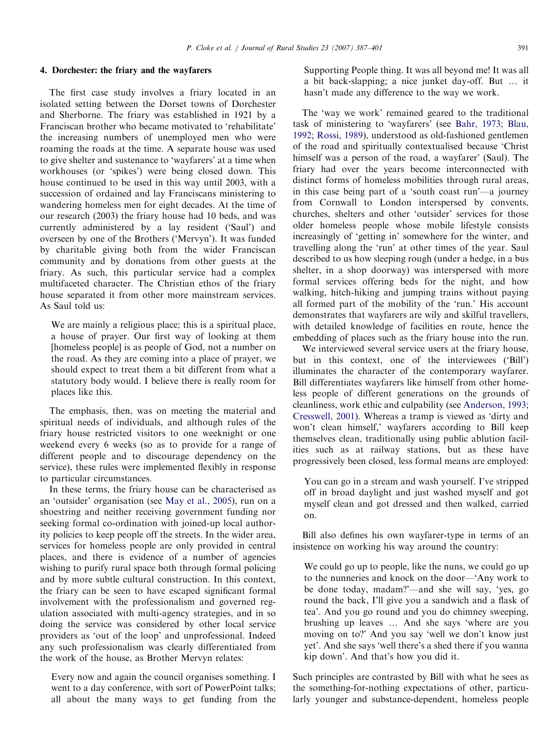#### 4. Dorchester: the friary and the wayfarers

The first case study involves a friary located in an isolated setting between the Dorset towns of Dorchester and Sherborne. The friary was established in 1921 by a Franciscan brother who became motivated to 'rehabilitate' the increasing numbers of unemployed men who were roaming the roads at the time. A separate house was used to give shelter and sustenance to 'wayfarers' at a time when workhouses (or 'spikes') were being closed down. This house continued to be used in this way until 2003, with a succession of ordained and lay Franciscans ministering to wandering homeless men for eight decades. At the time of our research (2003) the friary house had 10 beds, and was currently administered by a lay resident ('Saul') and overseen by one of the Brothers ('Mervyn'). It was funded by charitable giving both from the wider Franciscan community and by donations from other guests at the friary. As such, this particular service had a complex multifaceted character. The Christian ethos of the friary house separated it from other more mainstream services. As Saul told us:

We are mainly a religious place; this is a spiritual place, a house of prayer. Our first way of looking at them [homeless people] is as people of God, not a number on the road. As they are coming into a place of prayer, we should expect to treat them a bit different from what a statutory body would. I believe there is really room for places like this.

The emphasis, then, was on meeting the material and spiritual needs of individuals, and although rules of the friary house restricted visitors to one weeknight or one weekend every 6 weeks (so as to provide for a range of different people and to discourage dependency on the service), these rules were implemented flexibly in response to particular circumstances.

In these terms, the friary house can be characterised as an 'outsider' organisation (see [May et al., 2005\)](#page-14-0), run on a shoestring and neither receiving government funding nor seeking formal co-ordination with joined-up local authority policies to keep people off the streets. In the wider area, services for homeless people are only provided in central places, and there is evidence of a number of agencies wishing to purify rural space both through formal policing and by more subtle cultural construction. In this context, the friary can be seen to have escaped significant formal involvement with the professionalism and governed regulation associated with multi-agency strategies, and in so doing the service was considered by other local service providers as 'out of the loop' and unprofessional. Indeed any such professionalism was clearly differentiated from the work of the house, as Brother Mervyn relates:

Every now and again the council organises something. I went to a day conference, with sort of PowerPoint talks; all about the many ways to get funding from the Supporting People thing. It was all beyond me! It was all a bit back-slapping; a nice junket day-off. But ... it hasn't made any difference to the way we work.

The 'way we work' remained geared to the traditional task of ministering to 'wayfarers' (see [Bahr, 1973;](#page-13-0) [Blau,](#page-13-0) [1992](#page-13-0); [Rossi, 1989](#page-14-0)), understood as old-fashioned gentlemen of the road and spiritually contextualised because 'Christ himself was a person of the road, a wayfarer' (Saul). The friary had over the years become interconnected with distinct forms of homeless mobilities through rural areas, in this case being part of a 'south coast run'—a journey from Cornwall to London interspersed by convents, churches, shelters and other 'outsider' services for those older homeless people whose mobile lifestyle consists increasingly of 'getting in' somewhere for the winter, and travelling along the 'run' at other times of the year. Saul described to us how sleeping rough (under a hedge, in a bus shelter, in a shop doorway) was interspersed with more formal services offering beds for the night, and how walking, hitch-hiking and jumping trains without paying all formed part of the mobility of the 'run.' His account demonstrates that wayfarers are wily and skilful travellers, with detailed knowledge of facilities en route, hence the embedding of places such as the friary house into the run.

We interviewed several service users at the friary house, but in this context, one of the interviewees ('Bill') illuminates the character of the contemporary wayfarer. Bill differentiates wayfarers like himself from other homeless people of different generations on the grounds of cleanliness, work ethic and culpability (see [Anderson, 1993;](#page-13-0) [Cresswell, 2001\)](#page-14-0). Whereas a tramp is viewed as 'dirty and won't clean himself,' wayfarers according to Bill keep themselves clean, traditionally using public ablution facilities such as at railway stations, but as these have progressively been closed, less formal means are employed:

You can go in a stream and wash yourself. I've stripped off in broad daylight and just washed myself and got myself clean and got dressed and then walked, carried on.

Bill also defines his own wayfarer-type in terms of an insistence on working his way around the country:

We could go up to people, like the nuns, we could go up to the nunneries and knock on the door—'Any work to be done today, madam?'—and she will say, 'yes, go round the back, I'll give you a sandwich and a flask of tea'. And you go round and you do chimney sweeping, brushing up leaves ... And she says 'where are you moving on to?' And you say 'well we don't know just yet'. And she says 'well there's a shed there if you wanna kip down'. And that's how you did it.

Such principles are contrasted by Bill with what he sees as the something-for-nothing expectations of other, particularly younger and substance-dependent, homeless people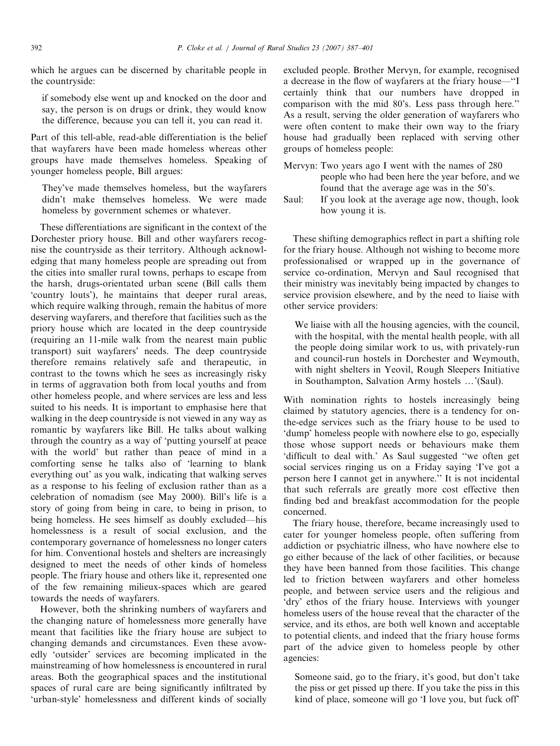which he argues can be discerned by charitable people in the countryside:

if somebody else went up and knocked on the door and say, the person is on drugs or drink, they would know the difference, because you can tell it, you can read it.

Part of this tell-able, read-able differentiation is the belief that wayfarers have been made homeless whereas other groups have made themselves homeless. Speaking of younger homeless people, Bill argues:

They've made themselves homeless, but the wayfarers didn't make themselves homeless. We were made homeless by government schemes or whatever.

These differentiations are significant in the context of the Dorchester priory house. Bill and other wayfarers recognise the countryside as their territory. Although acknowledging that many homeless people are spreading out from the cities into smaller rural towns, perhaps to escape from the harsh, drugs-orientated urban scene (Bill calls them 'country louts'), he maintains that deeper rural areas, which require walking through, remain the habitus of more deserving wayfarers, and therefore that facilities such as the priory house which are located in the deep countryside (requiring an 11-mile walk from the nearest main public transport) suit wayfarers' needs. The deep countryside therefore remains relatively safe and therapeutic, in contrast to the towns which he sees as increasingly risky in terms of aggravation both from local youths and from other homeless people, and where services are less and less suited to his needs. It is important to emphasise here that walking in the deep countryside is not viewed in any way as romantic by wayfarers like Bill. He talks about walking through the country as a way of 'putting yourself at peace with the world' but rather than peace of mind in a comforting sense he talks also of 'learning to blank everything out' as you walk, indicating that walking serves as a response to his feeling of exclusion rather than as a celebration of nomadism (see May 2000). Bill's life is a story of going from being in care, to being in prison, to being homeless. He sees himself as doubly excluded—his homelessness is a result of social exclusion, and the contemporary governance of homelessness no longer caters for him. Conventional hostels and shelters are increasingly designed to meet the needs of other kinds of homeless people. The friary house and others like it, represented one of the few remaining milieux-spaces which are geared towards the needs of wayfarers.

However, both the shrinking numbers of wayfarers and the changing nature of homelessness more generally have meant that facilities like the friary house are subject to changing demands and circumstances. Even these avowedly 'outsider' services are becoming implicated in the mainstreaming of how homelessness is encountered in rural areas. Both the geographical spaces and the institutional spaces of rural care are being significantly infiltrated by 'urban-style' homelessness and different kinds of socially excluded people. Brother Mervyn, for example, recognised a decrease in the flow of wayfarers at the friary house—''I certainly think that our numbers have dropped in comparison with the mid 80's. Less pass through here.'' As a result, serving the older generation of wayfarers who were often content to make their own way to the friary house had gradually been replaced with serving other groups of homeless people:

- Mervyn: Two years ago I went with the names of 280 people who had been here the year before, and we found that the average age was in the 50's.
- Saul: If you look at the average age now, though, look how young it is.

These shifting demographics reflect in part a shifting role for the friary house. Although not wishing to become more professionalised or wrapped up in the governance of service co-ordination, Mervyn and Saul recognised that their ministry was inevitably being impacted by changes to service provision elsewhere, and by the need to liaise with other service providers:

We liaise with all the housing agencies, with the council, with the hospital, with the mental health people, with all the people doing similar work to us, with privately-run and council-run hostels in Dorchester and Weymouth, with night shelters in Yeovil, Rough Sleepers Initiative in Southampton, Salvation Army hostels ...'(Saul).

With nomination rights to hostels increasingly being claimed by statutory agencies, there is a tendency for onthe-edge services such as the friary house to be used to 'dump' homeless people with nowhere else to go, especially those whose support needs or behaviours make them 'difficult to deal with.' As Saul suggested ''we often get social services ringing us on a Friday saying 'I've got a person here I cannot get in anywhere.'' It is not incidental that such referrals are greatly more cost effective then finding bed and breakfast accommodation for the people concerned.

The friary house, therefore, became increasingly used to cater for younger homeless people, often suffering from addiction or psychiatric illness, who have nowhere else to go either because of the lack of other facilities, or because they have been banned from those facilities. This change led to friction between wayfarers and other homeless people, and between service users and the religious and 'dry' ethos of the friary house. Interviews with younger homeless users of the house reveal that the character of the service, and its ethos, are both well known and acceptable to potential clients, and indeed that the friary house forms part of the advice given to homeless people by other agencies:

Someone said, go to the friary, it's good, but don't take the piss or get pissed up there. If you take the piss in this kind of place, someone will go 'I love you, but fuck off'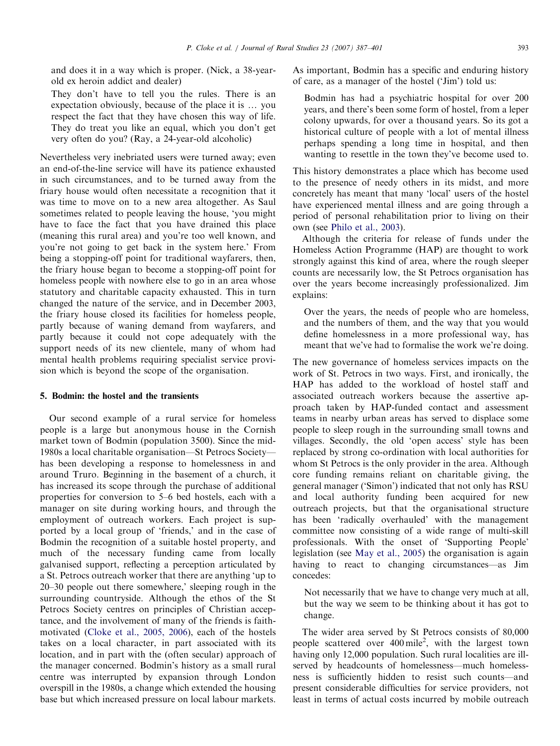and does it in a way which is proper. (Nick, a 38-yearold ex heroin addict and dealer)

They don't have to tell you the rules. There is an expectation obviously, because of the place it is ... you respect the fact that they have chosen this way of life. They do treat you like an equal, which you don't get very often do you? (Ray, a 24-year-old alcoholic)

Nevertheless very inebriated users were turned away; even an end-of-the-line service will have its patience exhausted in such circumstances, and to be turned away from the friary house would often necessitate a recognition that it was time to move on to a new area altogether. As Saul sometimes related to people leaving the house, 'you might have to face the fact that you have drained this place (meaning this rural area) and you're too well known, and you're not going to get back in the system here.' From being a stopping-off point for traditional wayfarers, then, the friary house began to become a stopping-off point for homeless people with nowhere else to go in an area whose statutory and charitable capacity exhausted. This in turn changed the nature of the service, and in December 2003, the friary house closed its facilities for homeless people, partly because of waning demand from wayfarers, and partly because it could not cope adequately with the support needs of its new clientele, many of whom had mental health problems requiring specialist service provision which is beyond the scope of the organisation.

#### 5. Bodmin: the hostel and the transients

Our second example of a rural service for homeless people is a large but anonymous house in the Cornish market town of Bodmin (population 3500). Since the mid-1980s a local charitable organisation—St Petrocs Society has been developing a response to homelessness in and around Truro. Beginning in the basement of a church, it has increased its scope through the purchase of additional properties for conversion to 5–6 bed hostels, each with a manager on site during working hours, and through the employment of outreach workers. Each project is supported by a local group of 'friends,' and in the case of Bodmin the recognition of a suitable hostel property, and much of the necessary funding came from locally galvanised support, reflecting a perception articulated by a St. Petrocs outreach worker that there are anything 'up to 20–30 people out there somewhere,' sleeping rough in the surrounding countryside. Although the ethos of the St Petrocs Society centres on principles of Christian acceptance, and the involvement of many of the friends is faithmotivated [\(Cloke et al., 2005, 2006\)](#page-13-0), each of the hostels takes on a local character, in part associated with its location, and in part with the (often secular) approach of the manager concerned. Bodmin's history as a small rural centre was interrupted by expansion through London overspill in the 1980s, a change which extended the housing base but which increased pressure on local labour markets. As important, Bodmin has a specific and enduring history of care, as a manager of the hostel ('Jim') told us:

Bodmin has had a psychiatric hospital for over 200 years, and there's been some form of hostel, from a leper colony upwards, for over a thousand years. So its got a historical culture of people with a lot of mental illness perhaps spending a long time in hospital, and then wanting to resettle in the town they've become used to.

This history demonstrates a place which has become used to the presence of needy others in its midst, and more concretely has meant that many 'local' users of the hostel have experienced mental illness and are going through a period of personal rehabilitation prior to living on their own (see [Philo et al., 2003](#page-14-0)).

Although the criteria for release of funds under the Homeless Action Programme (HAP) are thought to work strongly against this kind of area, where the rough sleeper counts are necessarily low, the St Petrocs organisation has over the years become increasingly professionalized. Jim explains:

Over the years, the needs of people who are homeless, and the numbers of them, and the way that you would define homelessness in a more professional way, has meant that we've had to formalise the work we're doing.

The new governance of homeless services impacts on the work of St. Petrocs in two ways. First, and ironically, the HAP has added to the workload of hostel staff and associated outreach workers because the assertive approach taken by HAP-funded contact and assessment teams in nearby urban areas has served to displace some people to sleep rough in the surrounding small towns and villages. Secondly, the old 'open access' style has been replaced by strong co-ordination with local authorities for whom St Petrocs is the only provider in the area. Although core funding remains reliant on charitable giving, the general manager ('Simon') indicated that not only has RSU and local authority funding been acquired for new outreach projects, but that the organisational structure has been 'radically overhauled' with the management committee now consisting of a wide range of multi-skill professionals. With the onset of 'Supporting People' legislation (see [May et al., 2005\)](#page-14-0) the organisation is again having to react to changing circumstances—as Jim concedes:

Not necessarily that we have to change very much at all, but the way we seem to be thinking about it has got to change.

The wider area served by St Petrocs consists of 80,000 people scattered over  $400 \text{ mile}^2$ , with the largest town having only 12,000 population. Such rural localities are illserved by headcounts of homelessness—much homelessness is sufficiently hidden to resist such counts—and present considerable difficulties for service providers, not least in terms of actual costs incurred by mobile outreach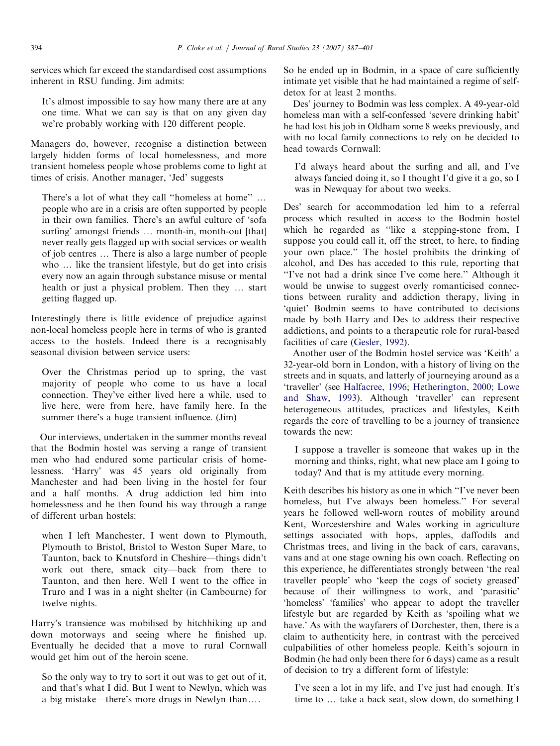services which far exceed the standardised cost assumptions inherent in RSU funding. Jim admits:

It's almost impossible to say how many there are at any one time. What we can say is that on any given day we're probably working with 120 different people.

Managers do, however, recognise a distinction between largely hidden forms of local homelessness, and more transient homeless people whose problems come to light at times of crisis. Another manager, 'Jed' suggests

There's a lot of what they call "homeless at home" ... people who are in a crisis are often supported by people in their own families. There's an awful culture of 'sofa surfing' amongst friends ... month-in, month-out [that] never really gets flagged up with social services or wealth of job centres  $\ldots$  There is also a large number of people who ... like the transient lifestyle, but do get into crisis every now an again through substance misuse or mental health or just a physical problem. Then they ... start getting flagged up.

Interestingly there is little evidence of prejudice against non-local homeless people here in terms of who is granted access to the hostels. Indeed there is a recognisably seasonal division between service users:

Over the Christmas period up to spring, the vast majority of people who come to us have a local connection. They've either lived here a while, used to live here, were from here, have family here. In the summer there's a huge transient influence. (Jim)

Our interviews, undertaken in the summer months reveal that the Bodmin hostel was serving a range of transient men who had endured some particular crisis of homelessness. 'Harry' was 45 years old originally from Manchester and had been living in the hostel for four and a half months. A drug addiction led him into homelessness and he then found his way through a range of different urban hostels:

when I left Manchester, I went down to Plymouth, Plymouth to Bristol, Bristol to Weston Super Mare, to Taunton, back to Knutsford in Cheshire—things didn't work out there, smack city—back from there to Taunton, and then here. Well I went to the office in Truro and I was in a night shelter (in Cambourne) for twelve nights.

Harry's transience was mobilised by hitchhiking up and down motorways and seeing where he finished up. Eventually he decided that a move to rural Cornwall would get him out of the heroin scene.

So the only way to try to sort it out was to get out of it, and that's what I did. But I went to Newlyn, which was a big mistake—there's more drugs in Newlyn than $\dots$ .

So he ended up in Bodmin, in a space of care sufficiently intimate yet visible that he had maintained a regime of selfdetox for at least 2 months.

Des' journey to Bodmin was less complex. A 49-year-old homeless man with a self-confessed 'severe drinking habit' he had lost his job in Oldham some 8 weeks previously, and with no local family connections to rely on he decided to head towards Cornwall:

I'd always heard about the surfing and all, and I've always fancied doing it, so I thought I'd give it a go, so I was in Newquay for about two weeks.

Des' search for accommodation led him to a referral process which resulted in access to the Bodmin hostel which he regarded as ''like a stepping-stone from, I suppose you could call it, off the street, to here, to finding your own place.'' The hostel prohibits the drinking of alcohol, and Des has acceded to this rule, reporting that ''I've not had a drink since I've come here.'' Although it would be unwise to suggest overly romanticised connections between rurality and addiction therapy, living in 'quiet' Bodmin seems to have contributed to decisions made by both Harry and Des to address their respective addictions, and points to a therapeutic role for rural-based facilities of care [\(Gesler, 1992\)](#page-14-0).

Another user of the Bodmin hostel service was 'Keith' a 32-year-old born in London, with a history of living on the streets and in squats, and latterly of journeying around as a 'traveller' (see [Halfacree, 1996;](#page-14-0) [Hetherington, 2000;](#page-14-0) [Lowe](#page-14-0) [and Shaw, 1993\)](#page-14-0). Although 'traveller' can represent heterogeneous attitudes, practices and lifestyles, Keith regards the core of travelling to be a journey of transience towards the new:

I suppose a traveller is someone that wakes up in the morning and thinks, right, what new place am I going to today? And that is my attitude every morning.

Keith describes his history as one in which ''I've never been homeless, but I've always been homeless.'' For several years he followed well-worn routes of mobility around Kent, Worcestershire and Wales working in agriculture settings associated with hops, apples, daffodils and Christmas trees, and living in the back of cars, caravans, vans and at one stage owning his own coach. Reflecting on this experience, he differentiates strongly between 'the real traveller people' who 'keep the cogs of society greased' because of their willingness to work, and 'parasitic' 'homeless' 'families' who appear to adopt the traveller lifestyle but are regarded by Keith as 'spoiling what we have.' As with the wayfarers of Dorchester, then, there is a claim to authenticity here, in contrast with the perceived culpabilities of other homeless people. Keith's sojourn in Bodmin (he had only been there for 6 days) came as a result of decision to try a different form of lifestyle:

I've seen a lot in my life, and I've just had enough. It's time to ... take a back seat, slow down, do something I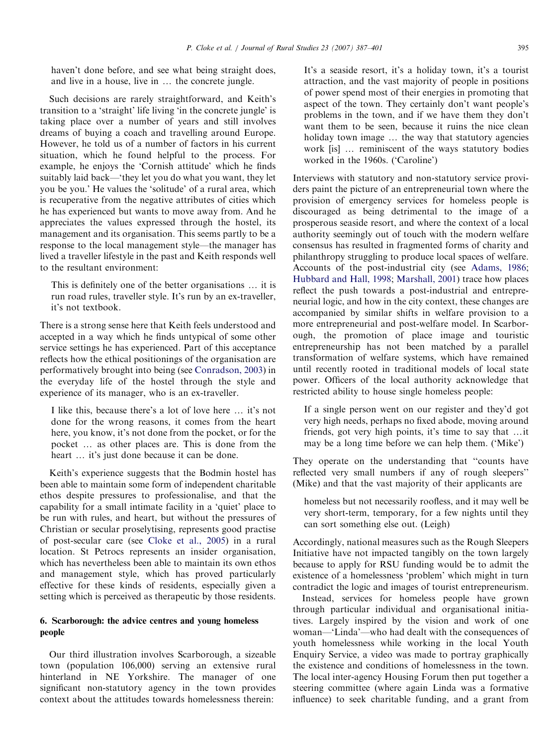haven't done before, and see what being straight does, and live in a house, live in  $\ldots$  the concrete jungle.

Such decisions are rarely straightforward, and Keith's transition to a 'straight' life living 'in the concrete jungle' is taking place over a number of years and still involves dreams of buying a coach and travelling around Europe. However, he told us of a number of factors in his current situation, which he found helpful to the process. For example, he enjoys the 'Cornish attitude' which he finds suitably laid back—'they let you do what you want, they let you be you.' He values the 'solitude' of a rural area, which is recuperative from the negative attributes of cities which he has experienced but wants to move away from. And he appreciates the values expressed through the hostel, its management and its organisation. This seems partly to be a response to the local management style—the manager has lived a traveller lifestyle in the past and Keith responds well to the resultant environment:

This is definitely one of the better organisations ... it is run road rules, traveller style. It's run by an ex-traveller, it's not textbook.

There is a strong sense here that Keith feels understood and accepted in a way which he finds untypical of some other service settings he has experienced. Part of this acceptance reflects how the ethical positionings of the organisation are performatively brought into being (see [Conradson, 2003\)](#page-14-0) in the everyday life of the hostel through the style and experience of its manager, who is an ex-traveller.

I like this, because there's a lot of love here  $\ldots$  it's not done for the wrong reasons, it comes from the heart here, you know, it's not done from the pocket, or for the pocket ... as other places are. This is done from the heart ... it's just done because it can be done.

Keith's experience suggests that the Bodmin hostel has been able to maintain some form of independent charitable ethos despite pressures to professionalise, and that the capability for a small intimate facility in a 'quiet' place to be run with rules, and heart, but without the pressures of Christian or secular proselytising, represents good practise of post-secular care (see [Cloke et al., 2005\)](#page-13-0) in a rural location. St Petrocs represents an insider organisation, which has nevertheless been able to maintain its own ethos and management style, which has proved particularly effective for these kinds of residents, especially given a setting which is perceived as therapeutic by those residents.

## 6. Scarborough: the advice centres and young homeless people

Our third illustration involves Scarborough, a sizeable town (population 106,000) serving an extensive rural hinterland in NE Yorkshire. The manager of one significant non-statutory agency in the town provides context about the attitudes towards homelessness therein:

It's a seaside resort, it's a holiday town, it's a tourist attraction, and the vast majority of people in positions of power spend most of their energies in promoting that aspect of the town. They certainly don't want people's problems in the town, and if we have them they don't want them to be seen, because it ruins the nice clean holiday town image ... the way that statutory agencies work [is]  $\ldots$  reminiscent of the ways statutory bodies worked in the 1960s. ('Caroline')

Interviews with statutory and non-statutory service providers paint the picture of an entrepreneurial town where the provision of emergency services for homeless people is discouraged as being detrimental to the image of a prosperous seaside resort, and where the context of a local authority seemingly out of touch with the modern welfare consensus has resulted in fragmented forms of charity and philanthropy struggling to produce local spaces of welfare. Accounts of the post-industrial city (see [Adams, 1986;](#page-13-0) [Hubbard and Hall, 1998](#page-14-0); [Marshall, 2001\)](#page-14-0) trace how places reflect the push towards a post-industrial and entrepreneurial logic, and how in the city context, these changes are accompanied by similar shifts in welfare provision to a more entrepreneurial and post-welfare model. In Scarborough, the promotion of place image and touristic entrepreneurship has not been matched by a parallel transformation of welfare systems, which have remained until recently rooted in traditional models of local state power. Officers of the local authority acknowledge that restricted ability to house single homeless people:

If a single person went on our register and they'd got very high needs, perhaps no fixed abode, moving around friends, got very high points, it's time to say that ... it may be a long time before we can help them. ('Mike')

They operate on the understanding that ''counts have reflected very small numbers if any of rough sleepers'' (Mike) and that the vast majority of their applicants are

homeless but not necessarily roofless, and it may well be very short-term, temporary, for a few nights until they can sort something else out. (Leigh)

Accordingly, national measures such as the Rough Sleepers Initiative have not impacted tangibly on the town largely because to apply for RSU funding would be to admit the existence of a homelessness 'problem' which might in turn contradict the logic and images of tourist entrepreneurism.

Instead, services for homeless people have grown through particular individual and organisational initiatives. Largely inspired by the vision and work of one woman—'Linda'—who had dealt with the consequences of youth homelessness while working in the local Youth Enquiry Service, a video was made to portray graphically the existence and conditions of homelessness in the town. The local inter-agency Housing Forum then put together a steering committee (where again Linda was a formative influence) to seek charitable funding, and a grant from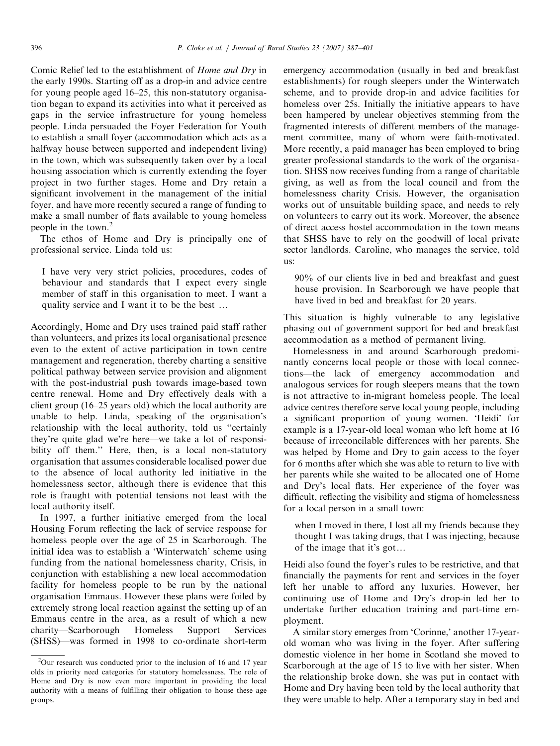Comic Relief led to the establishment of Home and Dry in the early 1990s. Starting off as a drop-in and advice centre for young people aged 16–25, this non-statutory organisation began to expand its activities into what it perceived as gaps in the service infrastructure for young homeless people. Linda persuaded the Foyer Federation for Youth to establish a small foyer (accommodation which acts as a halfway house between supported and independent living) in the town, which was subsequently taken over by a local housing association which is currently extending the foyer project in two further stages. Home and Dry retain a significant involvement in the management of the initial foyer, and have more recently secured a range of funding to make a small number of flats available to young homeless people in the town.<sup>2</sup>

The ethos of Home and Dry is principally one of professional service. Linda told us:

I have very very strict policies, procedures, codes of behaviour and standards that I expect every single member of staff in this organisation to meet. I want a quality service and I want it to be the best ...

Accordingly, Home and Dry uses trained paid staff rather than volunteers, and prizes its local organisational presence even to the extent of active participation in town centre management and regeneration, thereby charting a sensitive political pathway between service provision and alignment with the post-industrial push towards image-based town centre renewal. Home and Dry effectively deals with a client group (16–25 years old) which the local authority are unable to help. Linda, speaking of the organisation's relationship with the local authority, told us ''certainly they're quite glad we're here—we take a lot of responsibility off them." Here, then, is a local non-statutory organisation that assumes considerable localised power due to the absence of local authority led initiative in the homelessness sector, although there is evidence that this role is fraught with potential tensions not least with the local authority itself.

In 1997, a further initiative emerged from the local Housing Forum reflecting the lack of service response for homeless people over the age of 25 in Scarborough. The initial idea was to establish a 'Winterwatch' scheme using funding from the national homelessness charity, Crisis, in conjunction with establishing a new local accommodation facility for homeless people to be run by the national organisation Emmaus. However these plans were foiled by extremely strong local reaction against the setting up of an Emmaus centre in the area, as a result of which a new charity—Scarborough Homeless Support Services (SHSS)—was formed in 1998 to co-ordinate short-term emergency accommodation (usually in bed and breakfast establishments) for rough sleepers under the Winterwatch scheme, and to provide drop-in and advice facilities for homeless over 25s. Initially the initiative appears to have been hampered by unclear objectives stemming from the fragmented interests of different members of the management committee, many of whom were faith-motivated. More recently, a paid manager has been employed to bring greater professional standards to the work of the organisation. SHSS now receives funding from a range of charitable giving, as well as from the local council and from the homelessness charity Crisis. However, the organisation works out of unsuitable building space, and needs to rely on volunteers to carry out its work. Moreover, the absence of direct access hostel accommodation in the town means that SHSS have to rely on the goodwill of local private sector landlords. Caroline, who manages the service, told us:

90% of our clients live in bed and breakfast and guest house provision. In Scarborough we have people that have lived in bed and breakfast for 20 years.

This situation is highly vulnerable to any legislative phasing out of government support for bed and breakfast accommodation as a method of permanent living.

Homelessness in and around Scarborough predominantly concerns local people or those with local connections—the lack of emergency accommodation and analogous services for rough sleepers means that the town is not attractive to in-migrant homeless people. The local advice centres therefore serve local young people, including a significant proportion of young women. 'Heidi' for example is a 17-year-old local woman who left home at 16 because of irreconcilable differences with her parents. She was helped by Home and Dry to gain access to the foyer for 6 months after which she was able to return to live with her parents while she waited to be allocated one of Home and Dry's local flats. Her experience of the foyer was difficult, reflecting the visibility and stigma of homelessness for a local person in a small town:

when I moved in there, I lost all my friends because they thought I was taking drugs, that I was injecting, because of the image that it's got...

Heidi also found the foyer's rules to be restrictive, and that financially the payments for rent and services in the foyer left her unable to afford any luxuries. However, her continuing use of Home and Dry's drop-in led her to undertake further education training and part-time employment.

A similar story emerges from 'Corinne,' another 17-yearold woman who was living in the foyer. After suffering domestic violence in her home in Scotland she moved to Scarborough at the age of 15 to live with her sister. When the relationship broke down, she was put in contact with Home and Dry having been told by the local authority that they were unable to help. After a temporary stay in bed and

<sup>&</sup>lt;sup>2</sup>Our research was conducted prior to the inclusion of 16 and 17 year olds in priority need categories for statutory homelessness. The role of Home and Dry is now even more important in providing the local authority with a means of fulfilling their obligation to house these age groups.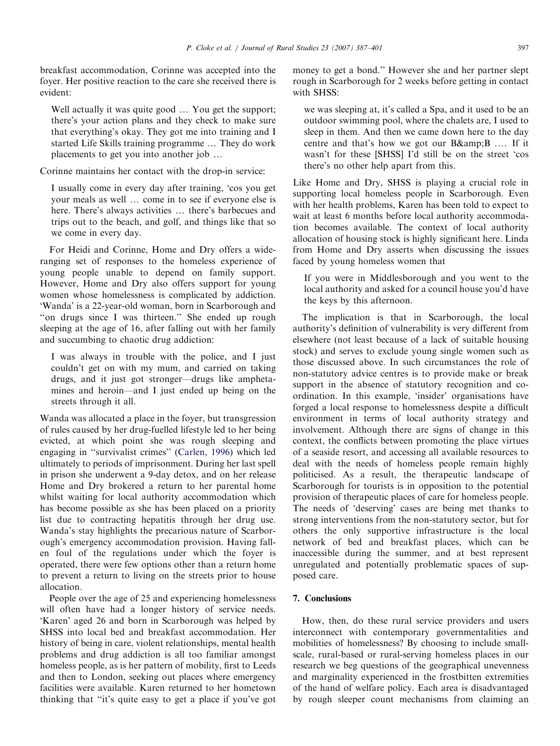breakfast accommodation, Corinne was accepted into the foyer. Her positive reaction to the care she received there is evident:

Well actually it was quite good ... You get the support; there's your action plans and they check to make sure that everything's okay. They got me into training and I started Life Skills training programme ... They do work placements to get you into another job ...

Corinne maintains her contact with the drop-in service:

I usually come in every day after training, 'cos you get your meals as well  $\ldots$  come in to see if everyone else is here. There's always activities ... there's barbecues and trips out to the beach, and golf, and things like that so we come in every day.

For Heidi and Corinne, Home and Dry offers a wideranging set of responses to the homeless experience of young people unable to depend on family support. However, Home and Dry also offers support for young women whose homelessness is complicated by addiction. 'Wanda' is a 22-year-old woman, born in Scarborough and "on drugs since I was thirteen." She ended up rough sleeping at the age of 16, after falling out with her family and succumbing to chaotic drug addiction:

I was always in trouble with the police, and I just couldn't get on with my mum, and carried on taking drugs, and it just got stronger—drugs like amphetamines and heroin—and I just ended up being on the streets through it all.

Wanda was allocated a place in the foyer, but transgression of rules caused by her drug-fuelled lifestyle led to her being evicted, at which point she was rough sleeping and engaging in ''survivalist crimes'' [\(Carlen, 1996\)](#page-13-0) which led ultimately to periods of imprisonment. During her last spell in prison she underwent a 9-day detox, and on her release Home and Dry brokered a return to her parental home whilst waiting for local authority accommodation which has become possible as she has been placed on a priority list due to contracting hepatitis through her drug use. Wanda's stay highlights the precarious nature of Scarborough's emergency accommodation provision. Having fallen foul of the regulations under which the foyer is operated, there were few options other than a return home to prevent a return to living on the streets prior to house allocation.

People over the age of 25 and experiencing homelessness will often have had a longer history of service needs. 'Karen' aged 26 and born in Scarborough was helped by SHSS into local bed and breakfast accommodation. Her history of being in care, violent relationships, mental health problems and drug addiction is all too familiar amongst homeless people, as is her pattern of mobility, first to Leeds and then to London, seeking out places where emergency facilities were available. Karen returned to her hometown thinking that ''it's quite easy to get a place if you've got

money to get a bond.'' However she and her partner slept rough in Scarborough for 2 weeks before getting in contact with SHSS:

we was sleeping at, it's called a Spa, and it used to be an outdoor swimming pool, where the chalets are, I used to sleep in them. And then we came down here to the day centre and that's how we got our B&B .... If it wasn't for these [SHSS] I'd still be on the street 'cos there's no other help apart from this.

Like Home and Dry, SHSS is playing a crucial role in supporting local homeless people in Scarborough. Even with her health problems, Karen has been told to expect to wait at least 6 months before local authority accommodation becomes available. The context of local authority allocation of housing stock is highly significant here. Linda from Home and Dry asserts when discussing the issues faced by young homeless women that

If you were in Middlesborough and you went to the local authority and asked for a council house you'd have the keys by this afternoon.

The implication is that in Scarborough, the local authority's definition of vulnerability is very different from elsewhere (not least because of a lack of suitable housing stock) and serves to exclude young single women such as those discussed above. In such circumstances the role of non-statutory advice centres is to provide make or break support in the absence of statutory recognition and coordination. In this example, 'insider' organisations have forged a local response to homelessness despite a difficult environment in terms of local authority strategy and involvement. Although there are signs of change in this context, the conflicts between promoting the place virtues of a seaside resort, and accessing all available resources to deal with the needs of homeless people remain highly politicised. As a result, the therapeutic landscape of Scarborough for tourists is in opposition to the potential provision of therapeutic places of care for homeless people. The needs of 'deserving' cases are being met thanks to strong interventions from the non-statutory sector, but for others the only supportive infrastructure is the local network of bed and breakfast places, which can be inaccessible during the summer, and at best represent unregulated and potentially problematic spaces of supposed care.

#### 7. Conclusions

How, then, do these rural service providers and users interconnect with contemporary governmentalities and mobilities of homelessness? By choosing to include smallscale, rural-based or rural-serving homeless places in our research we beg questions of the geographical unevenness and marginality experienced in the frostbitten extremities of the hand of welfare policy. Each area is disadvantaged by rough sleeper count mechanisms from claiming an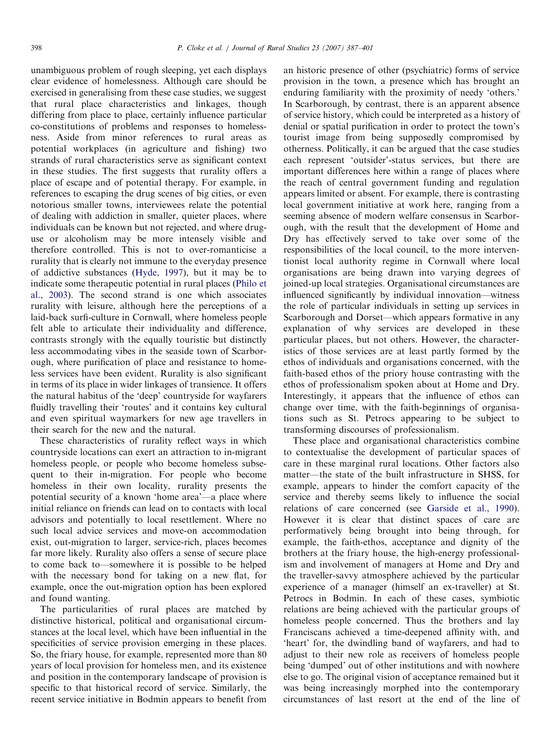unambiguous problem of rough sleeping, yet each displays clear evidence of homelessness. Although care should be exercised in generalising from these case studies, we suggest that rural place characteristics and linkages, though differing from place to place, certainly influence particular co-constitutions of problems and responses to homelessness. Aside from minor references to rural areas as potential workplaces (in agriculture and fishing) two strands of rural characteristics serve as significant context in these studies. The first suggests that rurality offers a place of escape and of potential therapy. For example, in references to escaping the drug scenes of big cities, or even notorious smaller towns, interviewees relate the potential of dealing with addiction in smaller, quieter places, where individuals can be known but not rejected, and where druguse or alcoholism may be more intensely visible and therefore controlled. This is not to over-romanticise a rurality that is clearly not immune to the everyday presence of addictive substances ([Hyde, 1997\)](#page-14-0), but it may be to indicate some therapeutic potential in rural places ([Philo et](#page-14-0) [al., 2003](#page-14-0)). The second strand is one which associates rurality with leisure, although here the perceptions of a laid-back surfi-culture in Cornwall, where homeless people felt able to articulate their individuality and difference, contrasts strongly with the equally touristic but distinctly less accommodating vibes in the seaside town of Scarborough, where purification of place and resistance to homeless services have been evident. Rurality is also significant in terms of its place in wider linkages of transience. It offers the natural habitus of the 'deep' countryside for wayfarers fluidly travelling their 'routes' and it contains key cultural and even spiritual waymarkers for new age travellers in their search for the new and the natural.

These characteristics of rurality reflect ways in which countryside locations can exert an attraction to in-migrant homeless people, or people who become homeless subsequent to their in-migration. For people who become homeless in their own locality, rurality presents the potential security of a known 'home area'—a place where initial reliance on friends can lead on to contacts with local advisors and potentially to local resettlement. Where no such local advice services and move-on accommodation exist, out-migration to larger, service-rich, places becomes far more likely. Rurality also offers a sense of secure place to come back to—somewhere it is possible to be helped with the necessary bond for taking on a new flat, for example, once the out-migration option has been explored and found wanting.

The particularities of rural places are matched by distinctive historical, political and organisational circumstances at the local level, which have been influential in the specificities of service provision emerging in these places. So, the friary house, for example, represented more than 80 years of local provision for homeless men, and its existence and position in the contemporary landscape of provision is specific to that historical record of service. Similarly, the recent service initiative in Bodmin appears to benefit from

an historic presence of other (psychiatric) forms of service provision in the town, a presence which has brought an enduring familiarity with the proximity of needy 'others.' In Scarborough, by contrast, there is an apparent absence of service history, which could be interpreted as a history of denial or spatial purification in order to protect the town's tourist image from being supposedly compromised by otherness. Politically, it can be argued that the case studies each represent 'outsider'-status services, but there are important differences here within a range of places where the reach of central government funding and regulation appears limited or absent. For example, there is contrasting local government initiative at work here, ranging from a seeming absence of modern welfare consensus in Scarborough, with the result that the development of Home and Dry has effectively served to take over some of the responsibilities of the local council, to the more interventionist local authority regime in Cornwall where local organisations are being drawn into varying degrees of joined-up local strategies. Organisational circumstances are influenced significantly by individual innovation—witness the role of particular individuals in setting up services in Scarborough and Dorset—which appears formative in any explanation of why services are developed in these particular places, but not others. However, the characteristics of those services are at least partly formed by the ethos of individuals and organisations concerned, with the faith-based ethos of the priory house contrasting with the ethos of professionalism spoken about at Home and Dry. Interestingly, it appears that the influence of ethos can change over time, with the faith-beginnings of organisations such as St. Petrocs appearing to be subject to transforming discourses of professionalism.

These place and organisational characteristics combine to contextualise the development of particular spaces of care in these marginal rural locations. Other factors also matter—the state of the built infrastructure in SHSS, for example, appears to hinder the comfort capacity of the service and thereby seems likely to influence the social relations of care concerned (see [Garside et al., 1990\)](#page-14-0). However it is clear that distinct spaces of care are performatively being brought into being through, for example, the faith-ethos, acceptance and dignity of the brothers at the friary house, the high-energy professionalism and involvement of managers at Home and Dry and the traveller-savvy atmosphere achieved by the particular experience of a manager (himself an ex-traveller) at St. Petrocs in Bodmin. In each of these cases, symbiotic relations are being achieved with the particular groups of homeless people concerned. Thus the brothers and lay Franciscans achieved a time-deepened affinity with, and 'heart' for, the dwindling band of wayfarers, and had to adjust to their new role as receivers of homeless people being 'dumped' out of other institutions and with nowhere else to go. The original vision of acceptance remained but it was being increasingly morphed into the contemporary circumstances of last resort at the end of the line of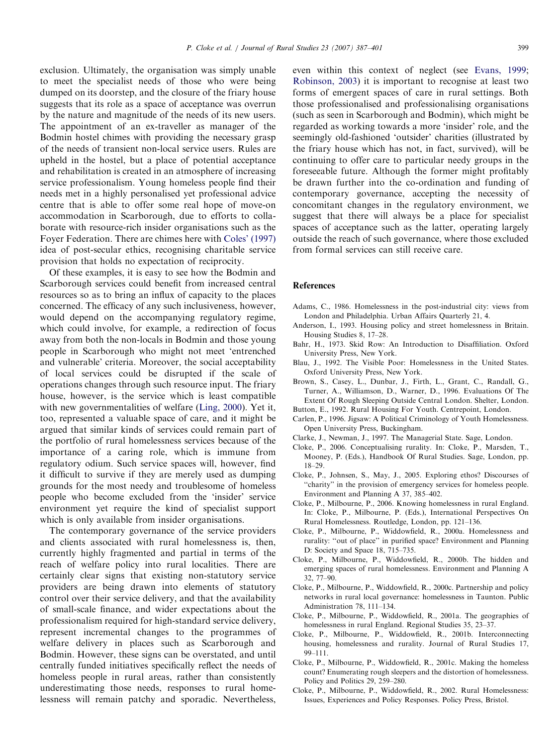<span id="page-13-0"></span>exclusion. Ultimately, the organisation was simply unable to meet the specialist needs of those who were being dumped on its doorstep, and the closure of the friary house suggests that its role as a space of acceptance was overrun by the nature and magnitude of the needs of its new users. The appointment of an ex-traveller as manager of the Bodmin hostel chimes with providing the necessary grasp of the needs of transient non-local service users. Rules are upheld in the hostel, but a place of potential acceptance and rehabilitation is created in an atmosphere of increasing service professionalism. Young homeless people find their needs met in a highly personalised yet professional advice centre that is able to offer some real hope of move-on accommodation in Scarborough, due to efforts to collaborate with resource-rich insider organisations such as the Foyer Federation. There are chimes here with [Coles' \(1997\)](#page-14-0) idea of post-secular ethics, recognising charitable service provision that holds no expectation of reciprocity.

Of these examples, it is easy to see how the Bodmin and Scarborough services could benefit from increased central resources so as to bring an influx of capacity to the places concerned. The efficacy of any such inclusiveness, however, would depend on the accompanying regulatory regime, which could involve, for example, a redirection of focus away from both the non-locals in Bodmin and those young people in Scarborough who might not meet 'entrenched and vulnerable' criteria. Moreover, the social acceptability of local services could be disrupted if the scale of operations changes through such resource input. The friary house, however, is the service which is least compatible with new governmentalities of welfare ([Ling, 2000](#page-14-0)). Yet it, too, represented a valuable space of care, and it might be argued that similar kinds of services could remain part of the portfolio of rural homelessness services because of the importance of a caring role, which is immune from regulatory odium. Such service spaces will, however, find it difficult to survive if they are merely used as dumping grounds for the most needy and troublesome of homeless people who become excluded from the 'insider' service environment yet require the kind of specialist support which is only available from insider organisations.

The contemporary governance of the service providers and clients associated with rural homelessness is, then, currently highly fragmented and partial in terms of the reach of welfare policy into rural localities. There are certainly clear signs that existing non-statutory service providers are being drawn into elements of statutory control over their service delivery, and that the availability of small-scale finance, and wider expectations about the professionalism required for high-standard service delivery, represent incremental changes to the programmes of welfare delivery in places such as Scarborough and Bodmin. However, these signs can be overstated, and until centrally funded initiatives specifically reflect the needs of homeless people in rural areas, rather than consistently underestimating those needs, responses to rural homelessness will remain patchy and sporadic. Nevertheless, even within this context of neglect (see [Evans, 1999;](#page-14-0) [Robinson, 2003\)](#page-14-0) it is important to recognise at least two forms of emergent spaces of care in rural settings. Both those professionalised and professionalising organisations (such as seen in Scarborough and Bodmin), which might be regarded as working towards a more 'insider' role, and the seemingly old-fashioned 'outsider' charities (illustrated by the friary house which has not, in fact, survived), will be continuing to offer care to particular needy groups in the foreseeable future. Although the former might profitably be drawn further into the co-ordination and funding of contemporary governance, accepting the necessity of concomitant changes in the regulatory environment, we suggest that there will always be a place for specialist spaces of acceptance such as the latter, operating largely outside the reach of such governance, where those excluded from formal services can still receive care.

#### References

- Adams, C., 1986. Homelessness in the post-industrial city: views from London and Philadelphia. Urban Affairs Quarterly 21, 4.
- Anderson, I., 1993. Housing policy and street homelessness in Britain. Housing Studies 8, 17–28.
- Bahr, H., 1973. Skid Row: An Introduction to Disaffiliation. Oxford University Press, New York.
- Blau, J., 1992. The Visible Poor: Homelessness in the United States. Oxford University Press, New York.
- Brown, S., Casey, L., Dunbar, J., Firth, L., Grant, C., Randall, G., Turner, A., Williamson, D., Warner, D., 1996. Evaluations Of The Extent Of Rough Sleeping Outside Central London. Shelter, London. Button, E., 1992. Rural Housing For Youth. Centrepoint, London.
- Carlen, P., 1996. Jigsaw: A Political Criminology of Youth Homelessness.
- Open University Press, Buckingham.
- Clarke, J., Newman, J., 1997. The Managerial State. Sage, London.
- Cloke, P., 2006. Conceptualising rurality. In: Cloke, P., Marsden, T., Mooney, P. (Eds.), Handbook Of Rural Studies. Sage, London, pp. 18–29.
- Cloke, P., Johnsen, S., May, J., 2005. Exploring ethos? Discourses of "charity" in the provision of emergency services for homeless people. Environment and Planning A 37, 385–402.
- Cloke, P., Milbourne, P., 2006. Knowing homelessness in rural England. In: Cloke, P., Milbourne, P. (Eds.), International Perspectives On Rural Homelessness. Routledge, London, pp. 121–136.
- Cloke, P., Milbourne, P., Widdowfield, R., 2000a. Homelessness and rurality: ''out of place'' in purified space? Environment and Planning D: Society and Space 18, 715–735.
- Cloke, P., Milbourne, P., Widdowfield, R., 2000b. The hidden and emerging spaces of rural homelessness. Environment and Planning A 32, 77–90.
- Cloke, P., Milbourne, P., Widdowfield, R., 2000c. Partnership and policy networks in rural local governance: homelessness in Taunton. Public Administration 78, 111–134.
- Cloke, P., Milbourne, P., Widdowfield, R., 2001a. The geographies of homelessness in rural England. Regional Studies 35, 23–37.
- Cloke, P., Milbourne, P., Widdowfield, R., 2001b. Interconnecting housing, homelessness and rurality. Journal of Rural Studies 17, 99–111.
- Cloke, P., Milbourne, P., Widdowfield, R., 2001c. Making the homeless count? Enumerating rough sleepers and the distortion of homelessness. Policy and Politics 29, 259–280.
- Cloke, P., Milbourne, P., Widdowfield, R., 2002. Rural Homelessness: Issues, Experiences and Policy Responses. Policy Press, Bristol.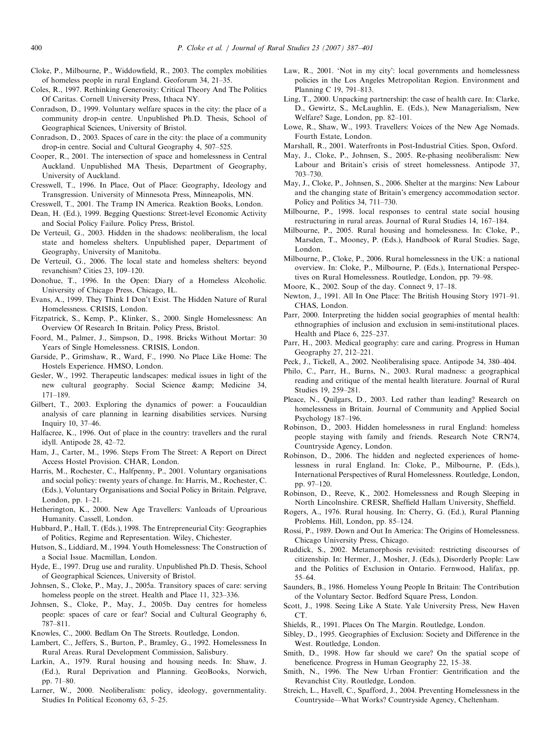- <span id="page-14-0"></span>Cloke, P., Milbourne, P., Widdowfield, R., 2003. The complex mobilities of homeless people in rural England. Geoforum 34, 21–35.
- Coles, R., 1997. Rethinking Generosity: Critical Theory And The Politics Of Caritas. Cornell University Press, Ithaca NY.
- Conradson, D., 1999. Voluntary welfare spaces in the city: the place of a community drop-in centre. Unpublished Ph.D. Thesis, School of Geographical Sciences, University of Bristol.
- Conradson, D., 2003. Spaces of care in the city: the place of a community drop-in centre. Social and Cultural Geography 4, 507–525.
- Cooper, R., 2001. The intersection of space and homelessness in Central Auckland. Unpublished MA Thesis, Department of Geography, University of Auckland.
- Cresswell, T., 1996. In Place, Out of Place: Geography, Ideology and Transgression. University of Minnesota Press, Minneapolis, MN.
- Cresswell, T., 2001. The Tramp IN America. Reaktion Books, London.
- Dean, H. (Ed.), 1999. Begging Questions: Street-level Economic Activity and Social Policy Failure. Policy Press, Bristol.
- De Verteuil, G., 2003. Hidden in the shadows: neoliberalism, the local state and homeless shelters. Unpublished paper, Department of Geography, University of Manitoba.
- De Verteuil, G., 2006. The local state and homeless shelters: beyond revanchism? Cities 23, 109–120.
- Donohue, T., 1996. In the Open: Diary of a Homeless Alcoholic. University of Chicago Press, Chicago, IL.
- Evans, A., 1999. They Think I Don't Exist. The Hidden Nature of Rural Homelessness. CRISIS, London.
- Fitzpatrick, S., Kemp, P., Klinker, S., 2000. Single Homelessness: An Overview Of Research In Britain. Policy Press, Bristol.
- Foord, M., Palmer, J., Simpson, D., 1998. Bricks Without Mortar: 30 Years of Single Homelessness. CRISIS, London.
- Garside, P., Grimshaw, R., Ward, F., 1990. No Place Like Home: The Hostels Experience. HMSO, London.
- Gesler, W., 1992. Therapeutic landscapes: medical issues in light of the new cultural geography. Social Science & amp; Medicine 34, 171–189.
- Gilbert, T., 2003. Exploring the dynamics of power: a Foucauldian analysis of care planning in learning disabilities services. Nursing Inquiry 10, 37–46.
- Halfacree, K., 1996. Out of place in the country: travellers and the rural idyll. Antipode 28, 42–72.
- Ham, J., Carter, M., 1996. Steps From The Street: A Report on Direct Access Hostel Provision. CHAR, London.
- Harris, M., Rochester, C., Halfpenny, P., 2001. Voluntary organisations and social policy: twenty years of change. In: Harris, M., Rochester, C. (Eds.), Voluntary Organisations and Social Policy in Britain. Pelgrave, London, pp. 1–21.
- Hetherington, K., 2000. New Age Travellers: Vanloads of Uproarious Humanity. Cassell, London.
- Hubbard, P., Hall, T. (Eds.), 1998. The Entrepreneurial City: Geographies of Politics, Regime and Representation. Wiley, Chichester.
- Hutson, S., Liddiard, M., 1994. Youth Homelessness: The Construction of a Social Issue. Macmillan, London.
- Hyde, E., 1997. Drug use and rurality. Unpublished Ph.D. Thesis, School of Geographical Sciences, University of Bristol.
- Johnsen, S., Cloke, P., May, J., 2005a. Transitory spaces of care: serving homeless people on the street. Health and Place 11, 323–336.
- Johnsen, S., Cloke, P., May, J., 2005b. Day centres for homeless people: spaces of care or fear? Social and Cultural Geography 6, 787–811.
- Knowles, C., 2000. Bedlam On The Streets. Routledge, London.
- Lambert, C., Jeffers, S., Burton, P., Bramley, G., 1992. Homelessness In Rural Areas. Rural Development Commission, Salisbury.
- Larkin, A., 1979. Rural housing and housing needs. In: Shaw, J. (Ed.), Rural Deprivation and Planning. GeoBooks, Norwich, pp. 71–80.
- Larner, W., 2000. Neoliberalism: policy, ideology, governmentality. Studies In Political Economy 63, 5–25.
- Law, R., 2001. 'Not in my city': local governments and homelessness policies in the Los Angeles Metropolitan Region. Environment and Planning C 19, 791–813.
- Ling, T., 2000. Unpacking partnership: the case of health care. In: Clarke, D., Gewirtz, S., McLaughlin, E. (Eds.), New Managerialism, New Welfare? Sage, London, pp. 82–101.
- Lowe, R., Shaw, W., 1993. Travellers: Voices of the New Age Nomads. Fourth Estate, London.
- Marshall, R., 2001. Waterfronts in Post-Industrial Cities. Spon, Oxford.
- May, J., Cloke, P., Johnsen, S., 2005. Re-phasing neoliberalism: New Labour and Britain's crisis of street homelessness. Antipode 37, 703–730.
- May, J., Cloke, P., Johnsen, S., 2006. Shelter at the margins: New Labour and the changing state of Britain's emergency accommodation sector. Policy and Politics 34, 711–730.
- Milbourne, P., 1998. local responses to central state social housing restructuring in rural areas. Journal of Rural Studies 14, 167–184.
- Milbourne, P., 2005. Rural housing and homelessness. In: Cloke, P., Marsden, T., Mooney, P. (Eds.), Handbook of Rural Studies. Sage, London.
- Milbourne, P., Cloke, P., 2006. Rural homelessness in the UK: a national overview. In: Cloke, P., Milbourne, P. (Eds.), International Perspectives on Rural Homelessness. Routledge, London, pp. 79–98.
- Moore, K., 2002. Soup of the day. Connect 9, 17–18.
- Newton, J., 1991. All In One Place: The British Housing Story 1971–91. CHAS, London.
- Parr, 2000. Interpreting the hidden social geographies of mental health: ethnographies of inclusion and exclusion in semi-institutional places. Health and Place 6, 225–237.
- Parr, H., 2003. Medical geography: care and caring. Progress in Human Geography 27, 212–221.
- Peck, J., Tickell, A., 2002. Neoliberalising space. Antipode 34, 380–404.
- Philo, C., Parr, H., Burns, N., 2003. Rural madness: a geographical reading and critique of the mental health literature. Journal of Rural Studies 19, 259–281.
- Pleace, N., Quilgars, D., 2003. Led rather than leading? Research on homelessness in Britain. Journal of Community and Applied Social Psychology 187–196.
- Robinson, D., 2003. Hidden homelessness in rural England: homeless people staying with family and friends. Research Note CRN74, Countryside Agency, London.
- Robinson, D., 2006. The hidden and neglected experiences of homelessness in rural England. In: Cloke, P., Milbourne, P. (Eds.), International Perspectives of Rural Homelessness. Routledge, London, pp. 97–120.
- Robinson, D., Reeve, K., 2002. Homelessness and Rough Sleeping in North Lincolnshire. CRESR, Sheffield Hallam University, Sheffield.
- Rogers, A., 1976. Rural housing. In: Cherry, G. (Ed.), Rural Planning Problems. Hill, London, pp. 85–124.
- Rossi, P., 1989. Down and Out In America: The Origins of Homelessness. Chicago University Press, Chicago.
- Ruddick, S., 2002. Metamorphosis revisited: restricting discourses of citizenship. In: Hermer, J., Mosher, J. (Eds.), Disorderly People: Law and the Politics of Exclusion in Ontario. Fernwood, Halifax, pp. 55–64.
- Saunders, B., 1986. Homeless Young People In Britain: The Contribution of the Voluntary Sector. Bedford Square Press, London.
- Scott, J., 1998. Seeing Like A State. Yale University Press, New Haven CT.
- Shields, R., 1991. Places On The Margin. Routledge, London.
- Sibley, D., 1995. Geographies of Exclusion: Society and Difference in the West. Routledge, London.
- Smith, D., 1998. How far should we care? On the spatial scope of beneficence. Progress in Human Geography 22, 15–38.
- Smith, N., 1996. The New Urban Frontier: Gentrification and the Revanchist City. Routledge, London.
- Streich, L., Havell, C., Spafford, J., 2004. Preventing Homelessness in the Countryside—What Works? Countryside Agency, Cheltenham.